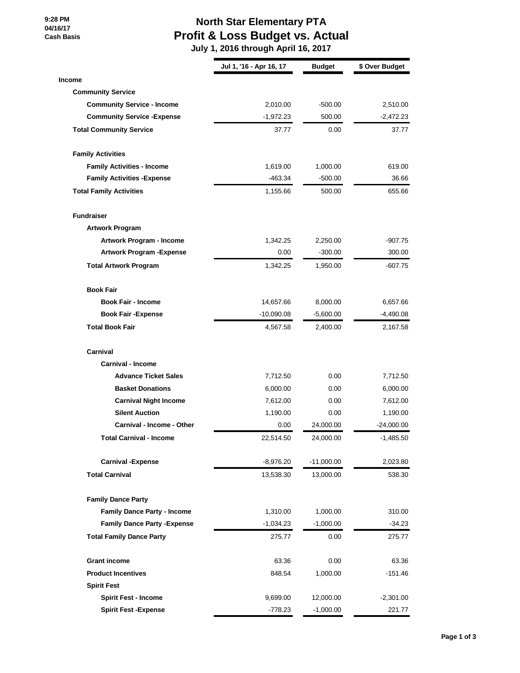**9:28 PM 04/16/17 Cash Basis**

## **North Star Elementary PTA Profit & Loss Budget vs. Actual**

 **July 1, 2016 through April 16, 2017**

|                                     | Jul 1, '16 - Apr 16, 17 | <b>Budget</b> | \$ Over Budget |
|-------------------------------------|-------------------------|---------------|----------------|
| <b>Income</b>                       |                         |               |                |
| <b>Community Service</b>            |                         |               |                |
| <b>Community Service - Income</b>   | 2,010.00                | $-500.00$     | 2,510.00       |
| <b>Community Service - Expense</b>  | $-1,972.23$             | 500.00        | $-2,472.23$    |
| <b>Total Community Service</b>      | 37.77                   | 0.00          | 37.77          |
| <b>Family Activities</b>            |                         |               |                |
| <b>Family Activities - Income</b>   | 1,619.00                | 1,000.00      | 619.00         |
| <b>Family Activities - Expense</b>  | $-463.34$               | $-500.00$     | 36.66          |
| <b>Total Family Activities</b>      | 1,155.66                | 500.00        | 655.66         |
| <b>Fundraiser</b>                   |                         |               |                |
| <b>Artwork Program</b>              |                         |               |                |
| Artwork Program - Income            | 1,342.25                | 2,250.00      | $-907.75$      |
| <b>Artwork Program - Expense</b>    | 0.00                    | $-300.00$     | 300.00         |
| <b>Total Artwork Program</b>        | 1,342.25                | 1,950.00      | $-607.75$      |
| <b>Book Fair</b>                    |                         |               |                |
| <b>Book Fair - Income</b>           | 14,657.66               | 8,000.00      | 6,657.66       |
| <b>Book Fair - Expense</b>          | $-10,090.08$            | $-5,600.00$   | $-4,490.08$    |
| <b>Total Book Fair</b>              | 4,567.58                | 2,400.00      | 2,167.58       |
| Carnival                            |                         |               |                |
| <b>Carnival - Income</b>            |                         |               |                |
| <b>Advance Ticket Sales</b>         | 7,712.50                | 0.00          | 7,712.50       |
| <b>Basket Donations</b>             | 6,000.00                | 0.00          | 6,000.00       |
| <b>Carnival Night Income</b>        | 7,612.00                | 0.00          | 7,612.00       |
| <b>Silent Auction</b>               | 1,190.00                | 0.00          | 1,190.00       |
| Carnival - Income - Other           | 0.00                    | 24,000.00     | -24,000.00     |
| <b>Total Carnival - Income</b>      | 22,514.50               | 24,000.00     | $-1,485.50$    |
| <b>Carnival -Expense</b>            | $-8,976.20$             | $-11,000.00$  | 2,023.80       |
| <b>Total Carnival</b>               | 13,538.30               | 13,000.00     | 538.30         |
| <b>Family Dance Party</b>           |                         |               |                |
| <b>Family Dance Party - Income</b>  | 1,310.00                | 1,000.00      | 310.00         |
| <b>Family Dance Party - Expense</b> | $-1,034.23$             | $-1,000.00$   | $-34.23$       |
| <b>Total Family Dance Party</b>     | 275.77                  | 0.00          | 275.77         |
| <b>Grant income</b>                 | 63.36                   | 0.00          | 63.36          |
| <b>Product Incentives</b>           | 848.54                  | 1,000.00      | $-151.46$      |
| <b>Spirit Fest</b>                  |                         |               |                |
| <b>Spirit Fest - Income</b>         | 9,699.00                | 12,000.00     | $-2,301.00$    |
| <b>Spirit Fest -Expense</b>         | $-778.23$               | $-1,000.00$   | 221.77         |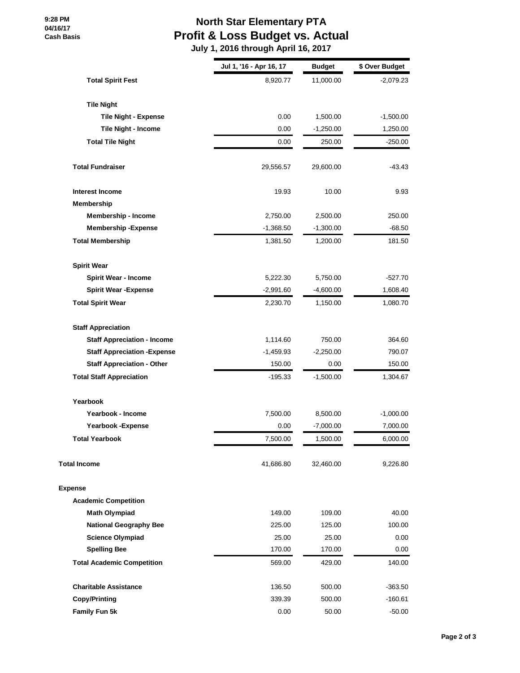**9:28 PM 04/16/17 Cash Basis**

## **North Star Elementary PTA Profit & Loss Budget vs. Actual**

 **July 1, 2016 through April 16, 2017**

|                                     | Jul 1, '16 - Apr 16, 17 | <b>Budget</b> | \$ Over Budget |
|-------------------------------------|-------------------------|---------------|----------------|
| <b>Total Spirit Fest</b>            | 8,920.77                | 11,000.00     | $-2,079.23$    |
| <b>Tile Night</b>                   |                         |               |                |
| <b>Tile Night - Expense</b>         | 0.00                    | 1,500.00      | $-1,500.00$    |
| Tile Night - Income                 | 0.00                    | $-1,250.00$   | 1,250.00       |
| <b>Total Tile Night</b>             | 0.00                    | 250.00        | $-250.00$      |
| <b>Total Fundraiser</b>             | 29,556.57               | 29,600.00     | -43.43         |
| <b>Interest Income</b>              | 19.93                   | 10.00         | 9.93           |
| Membership                          |                         |               |                |
| <b>Membership - Income</b>          | 2,750.00                | 2,500.00      | 250.00         |
| <b>Membership - Expense</b>         | $-1,368.50$             | $-1,300.00$   | $-68.50$       |
| <b>Total Membership</b>             | 1,381.50                | 1,200.00      | 181.50         |
| <b>Spirit Wear</b>                  |                         |               |                |
| <b>Spirit Wear - Income</b>         | 5,222.30                | 5,750.00      | $-527.70$      |
| <b>Spirit Wear - Expense</b>        | $-2,991.60$             | $-4,600.00$   | 1,608.40       |
| <b>Total Spirit Wear</b>            | 2,230.70                | 1,150.00      | 1,080.70       |
| <b>Staff Appreciation</b>           |                         |               |                |
| <b>Staff Appreciation - Income</b>  | 1,114.60                | 750.00        | 364.60         |
| <b>Staff Appreciation - Expense</b> | $-1,459.93$             | $-2,250.00$   | 790.07         |
| <b>Staff Appreciation - Other</b>   | 150.00                  | 0.00          | 150.00         |
| <b>Total Staff Appreciation</b>     | -195.33                 | $-1,500.00$   | 1,304.67       |
| Yearbook                            |                         |               |                |
| Yearbook - Income                   | 7,500.00                | 8,500.00      | $-1,000.00$    |
| Yearbook - Expense                  | 0.00                    | $-7,000.00$   | 7,000.00       |
| <b>Total Yearbook</b>               | 7,500.00                | 1,500.00      | 6,000.00       |
| <b>Total Income</b>                 | 41,686.80               | 32,460.00     | 9,226.80       |
| <b>Expense</b>                      |                         |               |                |
| <b>Academic Competition</b>         |                         |               |                |
| <b>Math Olympiad</b>                | 149.00                  | 109.00        | 40.00          |
| <b>National Geography Bee</b>       | 225.00                  | 125.00        | 100.00         |
| <b>Science Olympiad</b>             | 25.00                   | 25.00         | 0.00           |
| <b>Spelling Bee</b>                 | 170.00                  | 170.00        | 0.00           |
| <b>Total Academic Competition</b>   | 569.00                  | 429.00        | 140.00         |
| <b>Charitable Assistance</b>        | 136.50                  | 500.00        | $-363.50$      |
| <b>Copy/Printing</b>                | 339.39                  | 500.00        | $-160.61$      |
| Family Fun 5k                       | 0.00                    | 50.00         | $-50.00$       |